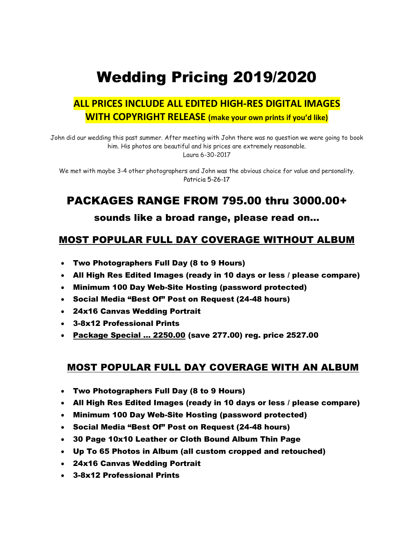# Wedding Pricing 2019/2020

### **ALL PRICES INCLUDE ALL EDITED HIGH-RES DIGITAL IMAGES WITH COPYRIGHT RELEASE (make your own prints if you'd like)**

John did our wedding this past summer. After meeting with John there was no question we were going to book him. His photos are beautiful and his prices are extremely reasonable. Laura 6-30-2017

We met with maybe 3-4 other photographers and John was the obvious choice for value and personality. Patricia 5-26-17

### PACKAGES RANGE FROM 795.00 thru 3000.00+

#### sounds like a broad range, please read on…

### MOST POPULAR FULL DAY COVERAGE WITHOUT ALBUM

- Two Photographers Full Day (8 to 9 Hours)
- All High Res Edited Images (ready in 10 days or less / please compare)
- Minimum 100 Day Web-Site Hosting (password protected)
- Social Media "Best Of" Post on Request (24-48 hours)
- 24x16 Canvas Wedding Portrait
- 3-8x12 Professional Prints
- Package Special … 2250.00 (save 277.00) reg. price 2527.00

#### MOST POPULAR FULL DAY COVERAGE WITH AN ALBUM

- Two Photographers Full Day (8 to 9 Hours)
- All High Res Edited Images (ready in 10 days or less / please compare)
- Minimum 100 Day Web-Site Hosting (password protected)
- Social Media "Best Of" Post on Request (24-48 hours)
- 30 Page 10x10 Leather or Cloth Bound Album Thin Page
- Up To 65 Photos in Album (all custom cropped and retouched)
- 24x16 Canvas Wedding Portrait
- 3-8x12 Professional Prints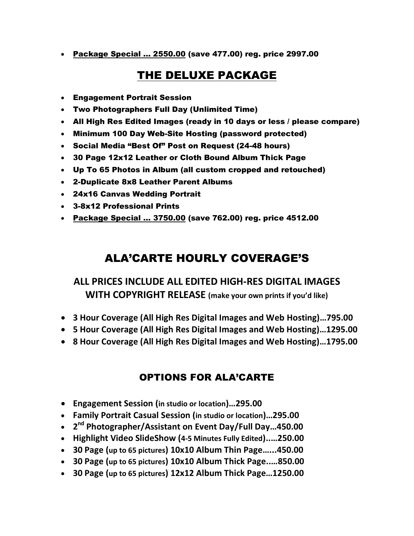• Package Special ... 2550.00 (save 477.00) reg. price 2997.00

# THE DELUXE PACKAGE

- Engagement Portrait Session
- Two Photographers Full Day (Unlimited Time)
- All High Res Edited Images (ready in 10 days or less / please compare)
- Minimum 100 Day Web-Site Hosting (password protected)
- Social Media "Best Of" Post on Request (24-48 hours)
- 30 Page 12x12 Leather or Cloth Bound Album Thick Page
- Up To 65 Photos in Album (all custom cropped and retouched)
- 2-Duplicate 8x8 Leather Parent Albums
- 24x16 Canvas Wedding Portrait
- 3-8x12 Professional Prints
- Package Special ... 3750.00 (save 762.00) reg. price 4512.00

## ALA'CARTE HOURLY COVERAGE'S

### **ALL PRICES INCLUDE ALL EDITED HIGH-RES DIGITAL IMAGES WITH COPYRIGHT RELEASE (make your own prints if you'd like)**

- **3 Hour Coverage (All High Res Digital Images and Web Hosting)…795.00**
- **5 Hour Coverage (All High Res Digital Images and Web Hosting)…1295.00**
- **8 Hour Coverage (All High Res Digital Images and Web Hosting)…1795.00**

### OPTIONS FOR ALA'CARTE

- **Engagement Session (in studio or location)…295.00**
- **Family Portrait Casual Session (in studio or location)…295.00**
- **2 nd Photographer/Assistant on Event Day/Full Day…450.00**
- **Highlight Video SlideShow (4-5 Minutes Fully Edited)..…250.00**
- **30 Page (up to 65 pictures) 10x10 Album Thin Page…...450.00**
- **30 Page (up to 65 pictures) 10x10 Album Thick Page..…850.00**
- **30 Page (up to 65 pictures) 12x12 Album Thick Page…1250.00**